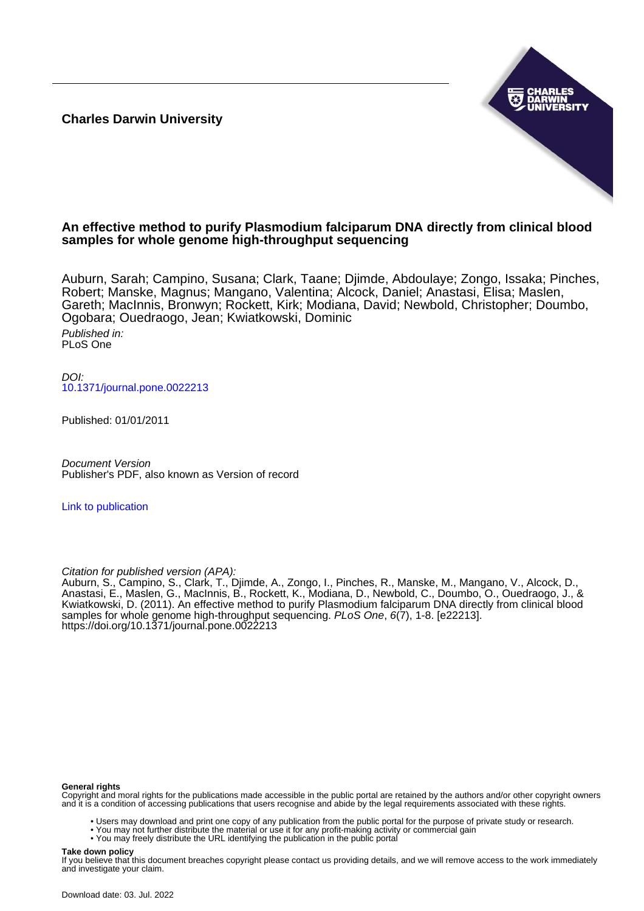**Charles Darwin University**



# **An effective method to purify Plasmodium falciparum DNA directly from clinical blood samples for whole genome high-throughput sequencing**

Auburn, Sarah; Campino, Susana; Clark, Taane; Djimde, Abdoulaye; Zongo, Issaka; Pinches, Robert; Manske, Magnus; Mangano, Valentina; Alcock, Daniel; Anastasi, Elisa; Maslen, Gareth; MacInnis, Bronwyn; Rockett, Kirk; Modiana, David; Newbold, Christopher; Doumbo, Ogobara; Ouedraogo, Jean; Kwiatkowski, Dominic

Published in: PLoS One

DOI: [10.1371/journal.pone.0022213](https://doi.org/10.1371/journal.pone.0022213)

Published: 01/01/2011

Document Version Publisher's PDF, also known as Version of record

[Link to publication](https://researchers.cdu.edu.au/en/publications/716fead2-cb99-4423-8259-87ace33b0e71)

Citation for published version (APA):

Auburn, S., Campino, S., Clark, T., Djimde, A., Zongo, I., Pinches, R., Manske, M., Mangano, V., Alcock, D., Anastasi, E., Maslen, G., MacInnis, B., Rockett, K., Modiana, D., Newbold, C., Doumbo, O., Ouedraogo, J., & Kwiatkowski, D. (2011). An effective method to purify Plasmodium falciparum DNA directly from clinical blood samples for whole genome high-throughput sequencing. PLoS One, 6(7), 1-8. [e22213]. <https://doi.org/10.1371/journal.pone.0022213>

#### **General rights**

Copyright and moral rights for the publications made accessible in the public portal are retained by the authors and/or other copyright owners and it is a condition of accessing publications that users recognise and abide by the legal requirements associated with these rights.

- Users may download and print one copy of any publication from the public portal for the purpose of private study or research.
- You may not further distribute the material or use it for any profit-making activity or commercial gain
- You may freely distribute the URL identifying the publication in the public portal

#### **Take down policy**

If you believe that this document breaches copyright please contact us providing details, and we will remove access to the work immediately and investigate your claim.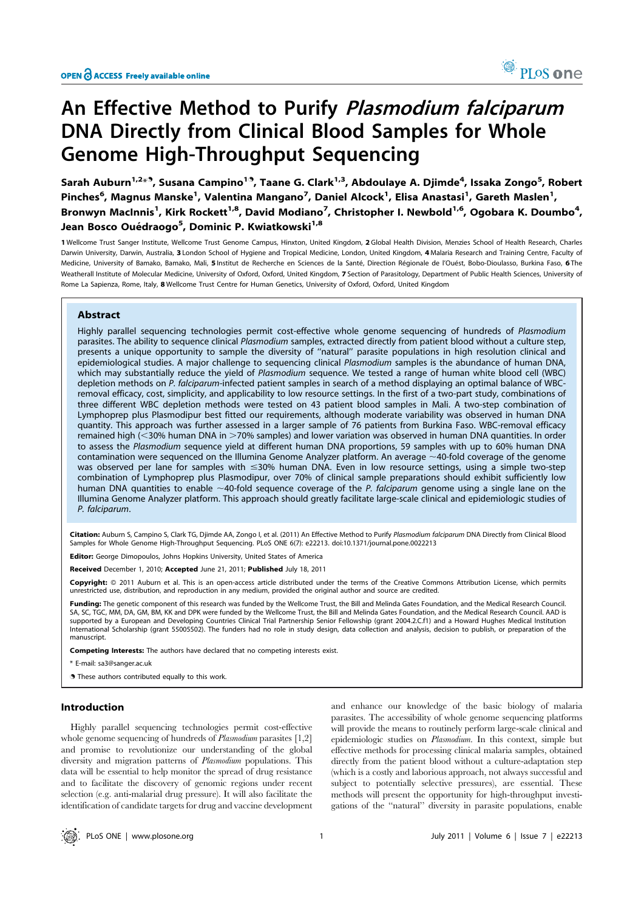# An Effective Method to Purify Plasmodium falciparum DNA Directly from Clinical Blood Samples for Whole Genome High-Throughput Sequencing

Sarah Auburn<sup>1,2</sup>\*<sup>9</sup>, Susana Campino<sup>19</sup>, Taane G. Clark<sup>1,3</sup>, Abdoulaye A. Djimde<sup>4</sup>, Issaka Zongo<sup>5</sup>, Robert Pinches<sup>6</sup>, Magnus Manske<sup>1</sup>, Valentina Mangano<sup>7</sup>, Daniel Alcock<sup>1</sup>, Elisa Anastasi<sup>1</sup>, Gareth Maslen<sup>1</sup>, Bronwyn MacInnis<sup>1</sup>, Kirk Rockett<sup>1,8</sup>, David Modiano<sup>7</sup>, Christopher I. Newbold<sup>1,6</sup>, Ogobara K. Doumbo<sup>4</sup>, Jean Bosco Ouédraogo<sup>5</sup>, Dominic P. Kwiatkowski<sup>1,8</sup>

1 Wellcome Trust Sanger Institute, Wellcome Trust Genome Campus, Hinxton, United Kingdom, 2 Global Health Division, Menzies School of Health Research, Charles Darwin University, Darwin, Australia, 3 London School of Hygiene and Tropical Medicine, London, United Kingdom, 4 Malaria Research and Training Centre, Faculty of Medicine, University of Bamako, Bamako, Mali, 5 Institut de Recherche en Sciences de la Santé, Direction Régionale de l'Ouést, Bobo-Dioulasso, Burkina Faso, 6 The Weatherall Institute of Molecular Medicine, University of Oxford, Oxford, United Kingdom, 7 Section of Parasitology, Department of Public Health Sciences, University of Rome La Sapienza, Rome, Italy, 8 Wellcome Trust Centre for Human Genetics, University of Oxford, Oxford, United Kingdom

## Abstract

Highly parallel sequencing technologies permit cost-effective whole genome sequencing of hundreds of Plasmodium parasites. The ability to sequence clinical Plasmodium samples, extracted directly from patient blood without a culture step, presents a unique opportunity to sample the diversity of ''natural'' parasite populations in high resolution clinical and epidemiological studies. A major challenge to sequencing clinical Plasmodium samples is the abundance of human DNA, which may substantially reduce the yield of Plasmodium sequence. We tested a range of human white blood cell (WBC) depletion methods on P. falciparum-infected patient samples in search of a method displaying an optimal balance of WBCremoval efficacy, cost, simplicity, and applicability to low resource settings. In the first of a two-part study, combinations of three different WBC depletion methods were tested on 43 patient blood samples in Mali. A two-step combination of Lymphoprep plus Plasmodipur best fitted our requirements, although moderate variability was observed in human DNA quantity. This approach was further assessed in a larger sample of 76 patients from Burkina Faso. WBC-removal efficacy remained high (<30% human DNA in >70% samples) and lower variation was observed in human DNA quantities. In order to assess the Plasmodium sequence yield at different human DNA proportions, 59 samples with up to 60% human DNA contamination were sequenced on the Illumina Genome Analyzer platform. An average  $\sim$ 40-fold coverage of the genome was observed per lane for samples with  $\leq$ 30% human DNA. Even in low resource settings, using a simple two-step combination of Lymphoprep plus Plasmodipur, over 70% of clinical sample preparations should exhibit sufficiently low human DNA quantities to enable  $~40$ -fold sequence coverage of the P. falciparum genome using a single lane on the Illumina Genome Analyzer platform. This approach should greatly facilitate large-scale clinical and epidemiologic studies of P. falciparum.

Citation: Auburn S, Campino S, Clark TG, Djimde AA, Zongo I, et al. (2011) An Effective Method to Purify Plasmodium falciparum DNA Directly from Clinical Blood Samples for Whole Genome High-Throughput Sequencing. PLoS ONE 6(7): e22213. doi:10.1371/journal.pone.0022213

Editor: George Dimopoulos, Johns Hopkins University, United States of America

Received December 1, 2010; Accepted June 21, 2011; Published July 18, 2011

Copyright: © 2011 Auburn et al. This is an open-access article distributed under the terms of the Creative Commons Attribution License, which permits unrestricted use, distribution, and reproduction in any medium, provided the original author and source are credited.

Funding: The genetic component of this research was funded by the Wellcome Trust, the Bill and Melinda Gates Foundation, and the Medical Research Council. SA, SC, TGC, MM, DA, GM, BM, KK and DPK were funded by the Wellcome Trust, the Bill and Melinda Gates Foundation, and the Medical Research Council. AAD is supported by a European and Developing Countries Clinical Trial Partnership Senior Fellowship (grant 2004.2.C.f1) and a Howard Hughes Medical Institution International Scholarship (grant 55005502). The funders had no role in study design, data collection and analysis, decision to publish, or preparation of the manuscript.

Competing Interests: The authors have declared that no competing interests exist.

\* E-mail: sa3@sanger.ac.uk

. These authors contributed equally to this work.

#### Introduction

Highly parallel sequencing technologies permit cost-effective whole genome sequencing of hundreds of *Plasmodium* parasites [1,2] and promise to revolutionize our understanding of the global diversity and migration patterns of Plasmodium populations. This data will be essential to help monitor the spread of drug resistance and to facilitate the discovery of genomic regions under recent selection (e.g. anti-malarial drug pressure). It will also facilitate the identification of candidate targets for drug and vaccine development and enhance our knowledge of the basic biology of malaria parasites. The accessibility of whole genome sequencing platforms will provide the means to routinely perform large-scale clinical and epidemiologic studies on Plasmodium. In this context, simple but effective methods for processing clinical malaria samples, obtained directly from the patient blood without a culture-adaptation step (which is a costly and laborious approach, not always successful and subject to potentially selective pressures), are essential. These methods will present the opportunity for high-throughput investigations of the ''natural'' diversity in parasite populations, enable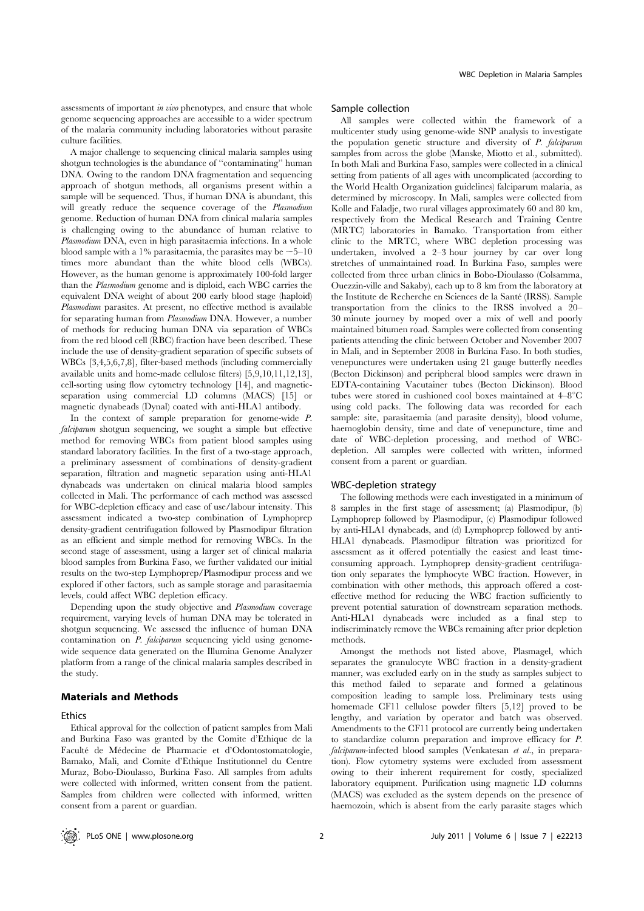assessments of important in vivo phenotypes, and ensure that whole genome sequencing approaches are accessible to a wider spectrum of the malaria community including laboratories without parasite culture facilities.

A major challenge to sequencing clinical malaria samples using shotgun technologies is the abundance of ''contaminating'' human DNA. Owing to the random DNA fragmentation and sequencing approach of shotgun methods, all organisms present within a sample will be sequenced. Thus, if human DNA is abundant, this will greatly reduce the sequence coverage of the Plasmodium genome. Reduction of human DNA from clinical malaria samples is challenging owing to the abundance of human relative to Plasmodium DNA, even in high parasitaemia infections. In a whole blood sample with a 1% parasitaemia, the parasites may be  $\sim$  5–10 times more abundant than the white blood cells (WBCs). However, as the human genome is approximately 100-fold larger than the Plasmodium genome and is diploid, each WBC carries the equivalent DNA weight of about 200 early blood stage (haploid) Plasmodium parasites. At present, no effective method is available for separating human from Plasmodium DNA. However, a number of methods for reducing human DNA via separation of WBCs from the red blood cell (RBC) fraction have been described. These include the use of density-gradient separation of specific subsets of WBCs [3,4,5,6,7,8], filter-based methods (including commercially available units and home-made cellulose filters) [5,9,10,11,12,13], cell-sorting using flow cytometry technology [14], and magneticseparation using commercial LD columns (MACS) [15] or magnetic dynabeads (Dynal) coated with anti-HLA1 antibody.

In the context of sample preparation for genome-wide P. falciparum shotgun sequencing, we sought a simple but effective method for removing WBCs from patient blood samples using standard laboratory facilities. In the first of a two-stage approach, a preliminary assessment of combinations of density-gradient separation, filtration and magnetic separation using anti-HLA1 dynabeads was undertaken on clinical malaria blood samples collected in Mali. The performance of each method was assessed for WBC-depletion efficacy and ease of use/labour intensity. This assessment indicated a two-step combination of Lymphoprep density-gradient centrifugation followed by Plasmodipur filtration as an efficient and simple method for removing WBCs. In the second stage of assessment, using a larger set of clinical malaria blood samples from Burkina Faso, we further validated our initial results on the two-step Lymphoprep/Plasmodipur process and we explored if other factors, such as sample storage and parasitaemia levels, could affect WBC depletion efficacy.

Depending upon the study objective and Plasmodium coverage requirement, varying levels of human DNA may be tolerated in shotgun sequencing. We assessed the influence of human DNA contamination on *P. falciparum* sequencing yield using genomewide sequence data generated on the Illumina Genome Analyzer platform from a range of the clinical malaria samples described in the study.

### Materials and Methods

# **Ethics**

Ethical approval for the collection of patient samples from Mali and Burkina Faso was granted by the Comite d'Ethique de la Faculté de Médecine de Pharmacie et d'Odontostomatologie, Bamako, Mali, and Comite d'Ethique Institutionnel du Centre Muraz, Bobo-Dioulasso, Burkina Faso. All samples from adults were collected with informed, written consent from the patient. Samples from children were collected with informed, written consent from a parent or guardian.

#### Sample collection

All samples were collected within the framework of a multicenter study using genome-wide SNP analysis to investigate the population genetic structure and diversity of P. falciparum samples from across the globe (Manske, Miotto et al., submitted). In both Mali and Burkina Faso, samples were collected in a clinical setting from patients of all ages with uncomplicated (according to the World Health Organization guidelines) falciparum malaria, as determined by microscopy. In Mali, samples were collected from Kolle and Faladje, two rural villages approximately 60 and 80 km, respectively from the Medical Research and Training Centre (MRTC) laboratories in Bamako. Transportation from either clinic to the MRTC, where WBC depletion processing was undertaken, involved a 2–3 hour journey by car over long stretches of unmaintained road. In Burkina Faso, samples were collected from three urban clinics in Bobo-Dioulasso (Colsamma, Ouezzin-ville and Sakaby), each up to 8 km from the laboratory at the Institute de Recherche en Sciences de la Santé (IRSS). Sample transportation from the clinics to the IRSS involved a 20– 30 minute journey by moped over a mix of well and poorly maintained bitumen road. Samples were collected from consenting patients attending the clinic between October and November 2007 in Mali, and in September 2008 in Burkina Faso. In both studies, venepunctures were undertaken using 21 gauge butterfly needles (Becton Dickinson) and peripheral blood samples were drawn in EDTA-containing Vacutainer tubes (Becton Dickinson). Blood tubes were stored in cushioned cool boxes maintained at  $4-8^{\circ}\text{C}$ using cold packs. The following data was recorded for each sample: site, parasitaemia (and parasite density), blood volume, haemoglobin density, time and date of venepuncture, time and date of WBC-depletion processing, and method of WBCdepletion. All samples were collected with written, informed consent from a parent or guardian.

#### WBC-depletion strategy

The following methods were each investigated in a minimum of 8 samples in the first stage of assessment; (a) Plasmodipur, (b) Lymphoprep followed by Plasmodipur, (c) Plasmodipur followed by anti-HLA1 dynabeads, and (d) Lymphoprep followed by anti-HLA1 dynabeads. Plasmodipur filtration was prioritized for assessment as it offered potentially the easiest and least timeconsuming approach. Lymphoprep density-gradient centrifugation only separates the lymphocyte WBC fraction. However, in combination with other methods, this approach offered a costeffective method for reducing the WBC fraction sufficiently to prevent potential saturation of downstream separation methods. Anti-HLA1 dynabeads were included as a final step to indiscriminately remove the WBCs remaining after prior depletion methods.

Amongst the methods not listed above, Plasmagel, which separates the granulocyte WBC fraction in a density-gradient manner, was excluded early on in the study as samples subject to this method failed to separate and formed a gelatinous composition leading to sample loss. Preliminary tests using homemade CF11 cellulose powder filters [5,12] proved to be lengthy, and variation by operator and batch was observed. Amendments to the CF11 protocol are currently being undertaken to standardize column preparation and improve efficacy for P. falciparum-infected blood samples (Venkatesan et al., in preparation). Flow cytometry systems were excluded from assessment owing to their inherent requirement for costly, specialized laboratory equipment. Purification using magnetic LD columns (MACS) was excluded as the system depends on the presence of haemozoin, which is absent from the early parasite stages which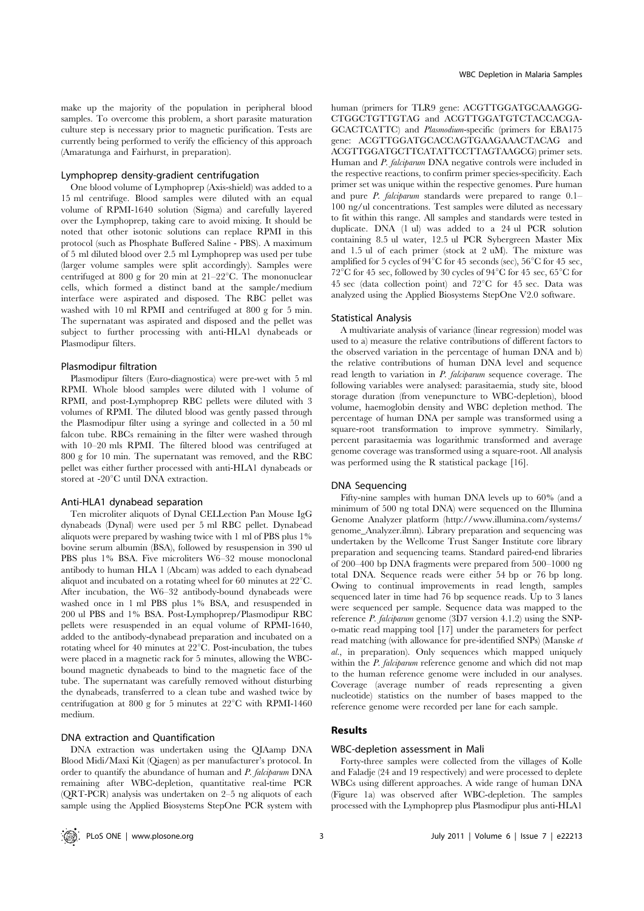make up the majority of the population in peripheral blood samples. To overcome this problem, a short parasite maturation culture step is necessary prior to magnetic purification. Tests are currently being performed to verify the efficiency of this approach (Amaratunga and Fairhurst, in preparation).

#### Lymphoprep density-gradient centrifugation

One blood volume of Lymphoprep (Axis-shield) was added to a 15 ml centrifuge. Blood samples were diluted with an equal volume of RPMI-1640 solution (Sigma) and carefully layered over the Lymphoprep, taking care to avoid mixing. It should be noted that other isotonic solutions can replace RPMI in this protocol (such as Phosphate Buffered Saline - PBS). A maximum of 5 ml diluted blood over 2.5 ml Lymphoprep was used per tube (larger volume samples were split accordingly). Samples were centrifuged at 800 g for 20 min at  $21-22$ °C. The mononuclear cells, which formed a distinct band at the sample/medium interface were aspirated and disposed. The RBC pellet was washed with 10 ml RPMI and centrifuged at 800 g for 5 min. The supernatant was aspirated and disposed and the pellet was subject to further processing with anti-HLA1 dynabeads or Plasmodipur filters.

#### Plasmodipur filtration

Plasmodipur filters (Euro-diagnostica) were pre-wet with 5 ml RPMI. Whole blood samples were diluted with 1 volume of RPMI, and post-Lymphoprep RBC pellets were diluted with 3 volumes of RPMI. The diluted blood was gently passed through the Plasmodipur filter using a syringe and collected in a 50 ml falcon tube. RBCs remaining in the filter were washed through with 10–20 mls RPMI. The filtered blood was centrifuged at 800 g for 10 min. The supernatant was removed, and the RBC pellet was either further processed with anti-HLA1 dynabeads or stored at -20°C until DNA extraction.

#### Anti-HLA1 dynabead separation

Ten microliter aliquots of Dynal CELLection Pan Mouse IgG dynabeads (Dynal) were used per 5 ml RBC pellet. Dynabead aliquots were prepared by washing twice with 1 ml of PBS plus 1% bovine serum albumin (BSA), followed by resuspension in 390 ul PBS plus 1% BSA. Five microliters W6–32 mouse monoclonal antibody to human HLA 1 (Abcam) was added to each dynabead aliquot and incubated on a rotating wheel for 60 minutes at  $22^{\circ}$ C. After incubation, the W6–32 antibody-bound dynabeads were washed once in 1 ml PBS plus 1% BSA, and resuspended in 200 ul PBS and 1% BSA. Post-Lymphoprep/Plasmodipur RBC pellets were resuspended in an equal volume of RPMI-1640, added to the antibody-dynabead preparation and incubated on a rotating wheel for 40 minutes at  $22^{\circ}$ C. Post-incubation, the tubes were placed in a magnetic rack for 5 minutes, allowing the WBCbound magnetic dynabeads to bind to the magnetic face of the tube. The supernatant was carefully removed without disturbing the dynabeads, transferred to a clean tube and washed twice by centrifugation at 800 g for 5 minutes at  $22^{\circ}$ C with RPMI-1460 medium.

### DNA extraction and Quantification

DNA extraction was undertaken using the QIAamp DNA Blood Midi/Maxi Kit (Qiagen) as per manufacturer's protocol. In order to quantify the abundance of human and P. falciparum DNA remaining after WBC-depletion, quantitative real-time PCR (QRT-PCR) analysis was undertaken on 2–5 ng aliquots of each sample using the Applied Biosystems StepOne PCR system with human (primers for TLR9 gene: ACGTTGGATGCAAAGGG-CTGGCTGTTGTAG and ACGTTGGATGTCTACCACGA-GCACTCATTC) and Plasmodium-specific (primers for EBA175 gene: ACGTTGGATGCACCAGTGAAGAAACTACAG and ACGTTGGATGCTTCATATTCCTTAGTAAGCG) primer sets. Human and P. falciparum DNA negative controls were included in the respective reactions, to confirm primer species-specificity. Each primer set was unique within the respective genomes. Pure human and pure P. falciparum standards were prepared to range 0.1– 100 ng/ul concentrations. Test samples were diluted as necessary to fit within this range. All samples and standards were tested in duplicate. DNA (1 ul) was added to a 24 ul PCR solution containing 8.5 ul water, 12.5 ul PCR Sybergreen Master Mix and 1.5 ul of each primer (stock at 2 uM). The mixture was amplified for 5 cycles of  $94^{\circ}$ C for 45 seconds (sec),  $56^{\circ}$ C for 45 sec.  $72^{\circ}$ C for 45 sec, followed by 30 cycles of 94 $^{\circ}$ C for 45 sec, 65 $^{\circ}$ C for 45 sec (data collection point) and  $72^{\circ}$ C for 45 sec. Data was analyzed using the Applied Biosystems StepOne V2.0 software.

#### Statistical Analysis

A multivariate analysis of variance (linear regression) model was used to a) measure the relative contributions of different factors to the observed variation in the percentage of human DNA and b) the relative contributions of human DNA level and sequence read length to variation in P. falciparum sequence coverage. The following variables were analysed: parasitaemia, study site, blood storage duration (from venepuncture to WBC-depletion), blood volume, haemoglobin density and WBC depletion method. The percentage of human DNA per sample was transformed using a square-root transformation to improve symmetry. Similarly, percent parasitaemia was logarithmic transformed and average genome coverage was transformed using a square-root. All analysis was performed using the R statistical package [16].

#### DNA Sequencing

Fifty-nine samples with human DNA levels up to 60% (and a minimum of 500 ng total DNA) were sequenced on the Illumina Genome Analyzer platform (http://www.illumina.com/systems/ genome\_Analyzer.ilmn). Library preparation and sequencing was undertaken by the Wellcome Trust Sanger Institute core library preparation and sequencing teams. Standard paired-end libraries of 200–400 bp DNA fragments were prepared from 500–1000 ng total DNA. Sequence reads were either 54 bp or 76 bp long. Owing to continual improvements in read length, samples sequenced later in time had 76 bp sequence reads. Up to 3 lanes were sequenced per sample. Sequence data was mapped to the reference P. falciparum genome (3D7 version 4.1.2) using the SNPo-matic read mapping tool [17] under the parameters for perfect read matching (with allowance for pre-identified SNPs) (Manske et al., in preparation). Only sequences which mapped uniquely within the *P. falciparum* reference genome and which did not map to the human reference genome were included in our analyses. Coverage (average number of reads representing a given nucleotide) statistics on the number of bases mapped to the reference genome were recorded per lane for each sample.

# Results

# WBC-depletion assessment in Mali

Forty-three samples were collected from the villages of Kolle and Faladje (24 and 19 respectively) and were processed to deplete WBCs using different approaches. A wide range of human DNA (Figure 1a) was observed after WBC-depletion. The samples processed with the Lymphoprep plus Plasmodipur plus anti-HLA1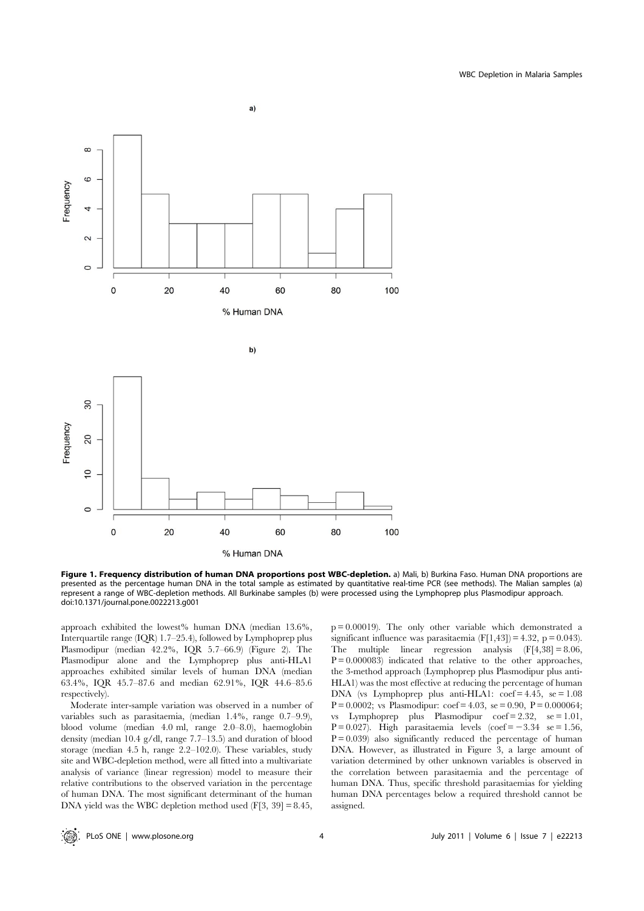

Figure 1. Frequency distribution of human DNA proportions post WBC-depletion. a) Mali, b) Burkina Faso. Human DNA proportions are presented as the percentage human DNA in the total sample as estimated by quantitative real-time PCR (see methods). The Malian samples (a) represent a range of WBC-depletion methods. All Burkinabe samples (b) were processed using the Lymphoprep plus Plasmodipur approach. doi:10.1371/journal.pone.0022213.g001

approach exhibited the lowest% human DNA (median 13.6%, Interquartile range (IQR) 1.7–25.4), followed by Lymphoprep plus Plasmodipur (median 42.2%, IQR 5.7–66.9) (Figure 2). The Plasmodipur alone and the Lymphoprep plus anti-HLA1 approaches exhibited similar levels of human DNA (median 63.4%, IQR 45.7–87.6 and median 62.91%, IQR 44.6–85.6 respectively).

Moderate inter-sample variation was observed in a number of variables such as parasitaemia, (median 1.4%, range 0.7–9.9), blood volume (median 4.0 ml, range 2.0–8.0), haemoglobin density (median 10.4 g/dl, range 7.7–13.5) and duration of blood storage (median 4.5 h, range 2.2–102.0). These variables, study site and WBC-depletion method, were all fitted into a multivariate analysis of variance (linear regression) model to measure their relative contributions to the observed variation in the percentage of human DNA. The most significant determinant of the human DNA yield was the WBC depletion method used (F[3, 39] = 8.45,  $p = 0.00019$ . The only other variable which demonstrated a significant influence was parasitaemia  $(F[1,43]) = 4.32$ , p = 0.043). The multiple linear regression analysis  $(F[4,38] = 8.06,$  $P = 0.000083$  indicated that relative to the other approaches, the 3-method approach (Lymphoprep plus Plasmodipur plus anti-HLA1) was the most effective at reducing the percentage of human DNA (vs Lymphoprep plus anti-HLA1:  $\text{coef} = 4.45$ ,  $\text{se} = 1.08$  $P = 0.0002$ ; vs Plasmodipur: coef = 4.03, se = 0.90,  $P = 0.000064$ ; vs Lymphoprep plus Plasmodipur  $\text{coef} = 2.32$ ,  $\text{se} = 1.01$ ,  $P = 0.027$ ). High parasitaemia levels (coef = -3.34 se = 1.56,  $P = 0.039$ ) also significantly reduced the percentage of human DNA. However, as illustrated in Figure 3, a large amount of variation determined by other unknown variables is observed in the correlation between parasitaemia and the percentage of human DNA. Thus, specific threshold parasitaemias for yielding human DNA percentages below a required threshold cannot be assigned.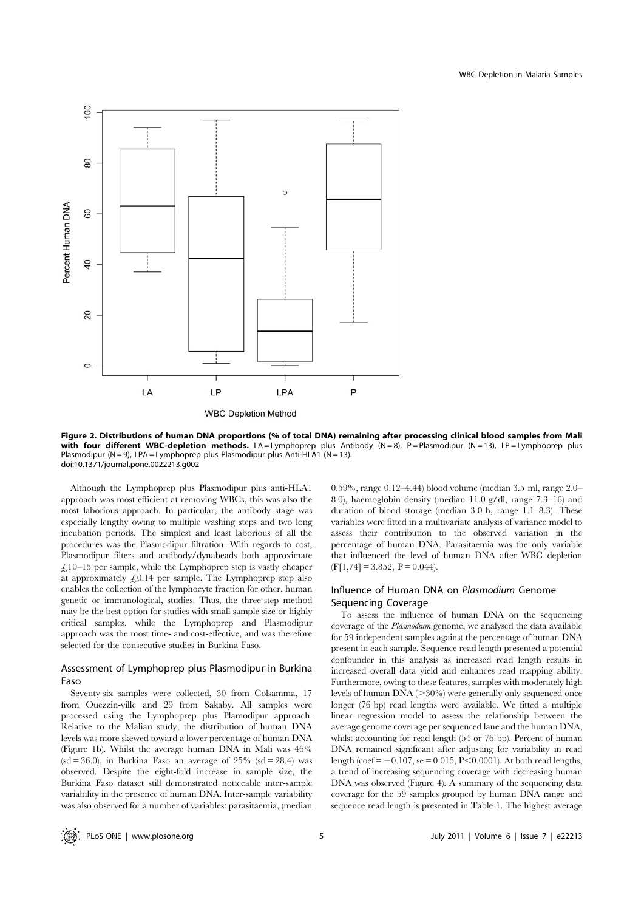

Figure 2. Distributions of human DNA proportions (% of total DNA) remaining after processing clinical blood samples from Mali with four different WBC-depletion methods. LA=Lymphoprep plus Antibody  $(N=8)$ , P=Plasmodipur  $(N=13)$ , LP=Lymphoprep plus Plasmodipur (N = 9), LPA = Lymphoprep plus Plasmodipur plus Anti-HLA1 (N = 13). doi:10.1371/journal.pone.0022213.g002

Although the Lymphoprep plus Plasmodipur plus anti-HLA1 approach was most efficient at removing WBCs, this was also the most laborious approach. In particular, the antibody stage was especially lengthy owing to multiple washing steps and two long incubation periods. The simplest and least laborious of all the procedures was the Plasmodipur filtration. With regards to cost, Plasmodipur filters and antibody/dynabeads both approximate  $£10–15$  per sample, while the Lymphoprep step is vastly cheaper at approximately  $f<sub>1</sub>0.14$  per sample. The Lymphoprep step also enables the collection of the lymphocyte fraction for other, human genetic or immunological, studies. Thus, the three-step method may be the best option for studies with small sample size or highly critical samples, while the Lymphoprep and Plasmodipur approach was the most time- and cost-effective, and was therefore selected for the consecutive studies in Burkina Faso.

# Assessment of Lymphoprep plus Plasmodipur in Burkina Faso

Seventy-six samples were collected, 30 from Colsamma, 17 from Ouezzin-ville and 29 from Sakaby. All samples were processed using the Lymphoprep plus Plamodipur approach. Relative to the Malian study, the distribution of human DNA levels was more skewed toward a lower percentage of human DNA (Figure 1b). Whilst the average human DNA in Mali was 46%  $(sd = 36.0)$ , in Burkina Faso an average of 25%  $(sd = 28.4)$  was observed. Despite the eight-fold increase in sample size, the Burkina Faso dataset still demonstrated noticeable inter-sample variability in the presence of human DNA. Inter-sample variability was also observed for a number of variables: parasitaemia, (median 0.59%, range 0.12–4.44) blood volume (median 3.5 ml, range 2.0– 8.0), haemoglobin density (median 11.0 g/dl, range 7.3–16) and duration of blood storage (median 3.0 h, range 1.1–8.3). These variables were fitted in a multivariate analysis of variance model to assess their contribution to the observed variation in the percentage of human DNA. Parasitaemia was the only variable that influenced the level of human DNA after WBC depletion  $(F[1,74] = 3.852, P = 0.044).$ 

# Influence of Human DNA on Plasmodium Genome Sequencing Coverage

To assess the influence of human DNA on the sequencing coverage of the Plasmodium genome, we analysed the data available for 59 independent samples against the percentage of human DNA present in each sample. Sequence read length presented a potential confounder in this analysis as increased read length results in increased overall data yield and enhances read mapping ability. Furthermore, owing to these features, samples with moderately high levels of human  $DNA \geq 30\%$  were generally only sequenced once longer (76 bp) read lengths were available. We fitted a multiple linear regression model to assess the relationship between the average genome coverage per sequenced lane and the human DNA, whilst accounting for read length (54 or 76 bp). Percent of human DNA remained significant after adjusting for variability in read length (coef =  $-0.107$ , se = 0.015, P<0.0001). At both read lengths, a trend of increasing sequencing coverage with decreasing human DNA was observed (Figure 4). A summary of the sequencing data coverage for the 59 samples grouped by human DNA range and sequence read length is presented in Table 1. The highest average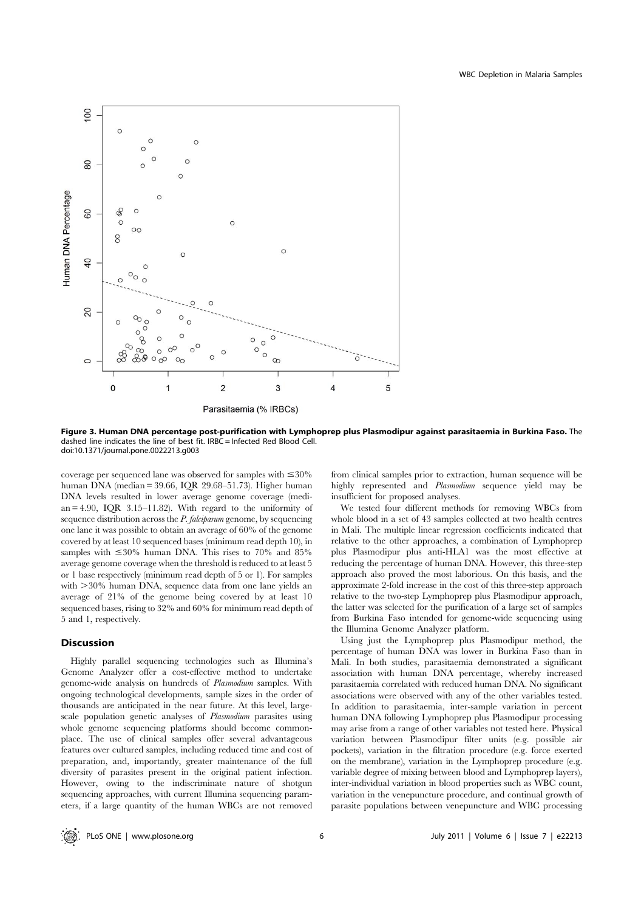

Figure 3. Human DNA percentage post-purification with Lymphoprep plus Plasmodipur against parasitaemia in Burkina Faso. The dashed line indicates the line of best fit. IRBC = Infected Red Blood Cell. doi:10.1371/journal.pone.0022213.g003

coverage per sequenced lane was observed for samples with  $\leq 30\%$ human DNA (median = 39.66, IQR 29.68–51.73). Higher human DNA levels resulted in lower average genome coverage (median  $= 4.90$ , IQR  $3.15-11.82$ ). With regard to the uniformity of sequence distribution across the *P. falciparum* genome, by sequencing one lane it was possible to obtain an average of 60% of the genome covered by at least 10 sequenced bases (minimum read depth 10), in samples with  $\leq 30\%$  human DNA. This rises to 70% and 85% average genome coverage when the threshold is reduced to at least 5 or 1 base respectively (minimum read depth of 5 or 1). For samples with  $>30\%$  human DNA, sequence data from one lane yields an average of 21% of the genome being covered by at least 10 sequenced bases, rising to 32% and 60% for minimum read depth of 5 and 1, respectively.

# Discussion

Highly parallel sequencing technologies such as Illumina's Genome Analyzer offer a cost-effective method to undertake genome-wide analysis on hundreds of Plasmodium samples. With ongoing technological developments, sample sizes in the order of thousands are anticipated in the near future. At this level, largescale population genetic analyses of Plasmodium parasites using whole genome sequencing platforms should become commonplace. The use of clinical samples offer several advantageous features over cultured samples, including reduced time and cost of preparation, and, importantly, greater maintenance of the full diversity of parasites present in the original patient infection. However, owing to the indiscriminate nature of shotgun sequencing approaches, with current Illumina sequencing parameters, if a large quantity of the human WBCs are not removed from clinical samples prior to extraction, human sequence will be highly represented and Plasmodium sequence yield may be insufficient for proposed analyses.

We tested four different methods for removing WBCs from whole blood in a set of 43 samples collected at two health centres in Mali. The multiple linear regression coefficients indicated that relative to the other approaches, a combination of Lymphoprep plus Plasmodipur plus anti-HLA1 was the most effective at reducing the percentage of human DNA. However, this three-step approach also proved the most laborious. On this basis, and the approximate 2-fold increase in the cost of this three-step approach relative to the two-step Lymphoprep plus Plasmodipur approach, the latter was selected for the purification of a large set of samples from Burkina Faso intended for genome-wide sequencing using the Illumina Genome Analyzer platform.

Using just the Lymphoprep plus Plasmodipur method, the percentage of human DNA was lower in Burkina Faso than in Mali. In both studies, parasitaemia demonstrated a significant association with human DNA percentage, whereby increased parasitaemia correlated with reduced human DNA. No significant associations were observed with any of the other variables tested. In addition to parasitaemia, inter-sample variation in percent human DNA following Lymphoprep plus Plasmodipur processing may arise from a range of other variables not tested here. Physical variation between Plasmodipur filter units (e.g. possible air pockets), variation in the filtration procedure (e.g. force exerted on the membrane), variation in the Lymphoprep procedure (e.g. variable degree of mixing between blood and Lymphoprep layers), inter-individual variation in blood properties such as WBC count, variation in the venepuncture procedure, and continual growth of parasite populations between venepuncture and WBC processing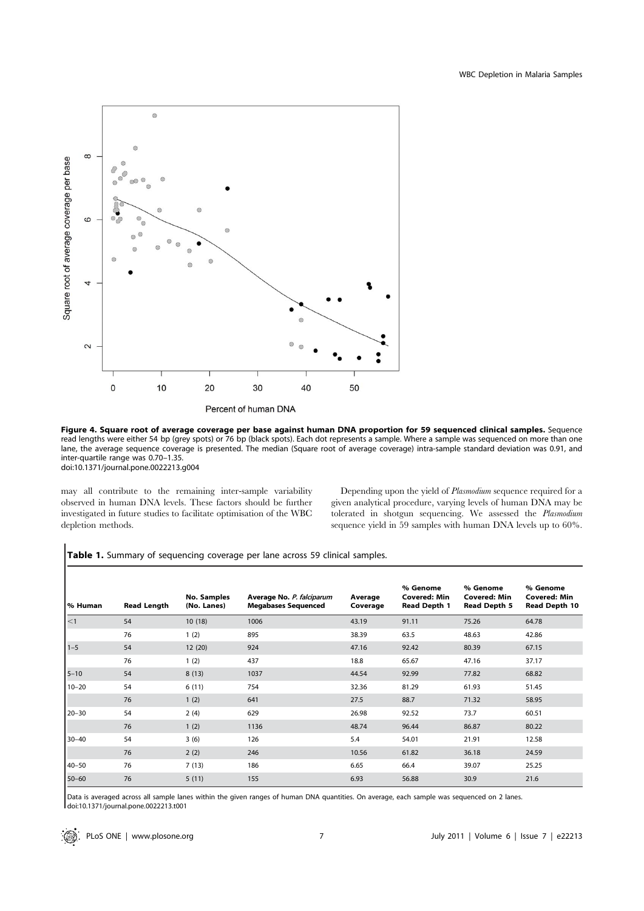

Figure 4. Square root of average coverage per base against human DNA proportion for 59 sequenced clinical samples. Sequence read lengths were either 54 bp (grey spots) or 76 bp (black spots). Each dot represents a sample. Where a sample was sequenced on more than one lane, the average sequence coverage is presented. The median (Square root of average coverage) intra-sample standard deviation was 0.91, and inter-quartile range was 0.70–1.35. doi:10.1371/journal.pone.0022213.g004

may all contribute to the remaining inter-sample variability observed in human DNA levels. These factors should be further investigated in future studies to facilitate optimisation of the WBC depletion methods.

Depending upon the yield of Plasmodium sequence required for a given analytical procedure, varying levels of human DNA may be tolerated in shotgun sequencing. We assessed the Plasmodium sequence yield in 59 samples with human DNA levels up to 60%.

Table 1. Summary of sequencing coverage per lane across 59 clinical samples.

| ∣% Human  | <b>Read Length</b> | <b>No. Samples</b><br>(No. Lanes) | Average No. P. falciparum<br><b>Megabases Sequenced</b> | Average<br>Coverage | % Genome<br><b>Covered: Min</b><br>Read Depth 1 | % Genome<br><b>Covered: Min</b><br>Read Depth 5 | % Genome<br><b>Covered: Min</b><br>Read Depth 10 |
|-----------|--------------------|-----------------------------------|---------------------------------------------------------|---------------------|-------------------------------------------------|-------------------------------------------------|--------------------------------------------------|
| $\leq$ 1  | 54                 | 10(18)                            | 1006                                                    | 43.19               | 91.11                                           | 75.26                                           | 64.78                                            |
|           | 76                 | 1(2)                              | 895                                                     | 38.39               | 63.5                                            | 48.63                                           | 42.86                                            |
| $1-5$     | 54                 | 12 (20)                           | 924                                                     | 47.16               | 92.42                                           | 80.39                                           | 67.15                                            |
|           | 76                 | 1(2)                              | 437                                                     | 18.8                | 65.67                                           | 47.16                                           | 37.17                                            |
| $5 - 10$  | 54                 | 8(13)                             | 1037                                                    | 44.54               | 92.99                                           | 77.82                                           | 68.82                                            |
| $10 - 20$ | 54                 | 6(11)                             | 754                                                     | 32.36               | 81.29                                           | 61.93                                           | 51.45                                            |
|           | 76                 | 1(2)                              | 641                                                     | 27.5                | 88.7                                            | 71.32                                           | 58.95                                            |
| $20 - 30$ | 54                 | 2(4)                              | 629                                                     | 26.98               | 92.52                                           | 73.7                                            | 60.51                                            |
|           | 76                 | 1(2)                              | 1136                                                    | 48.74               | 96.44                                           | 86.87                                           | 80.22                                            |
| $30 - 40$ | 54                 | 3(6)                              | 126                                                     | 5.4                 | 54.01                                           | 21.91                                           | 12.58                                            |
|           | 76                 | 2(2)                              | 246                                                     | 10.56               | 61.82                                           | 36.18                                           | 24.59                                            |
| $40 - 50$ | 76                 | 7(13)                             | 186                                                     | 6.65                | 66.4                                            | 39.07                                           | 25.25                                            |
| 50-60     | 76                 | 5(11)                             | 155                                                     | 6.93                | 56.88                                           | 30.9                                            | 21.6                                             |

Data is averaged across all sample lanes within the given ranges of human DNA quantities. On average, each sample was sequenced on 2 lanes. doi:10.1371/journal.pone.0022213.t001